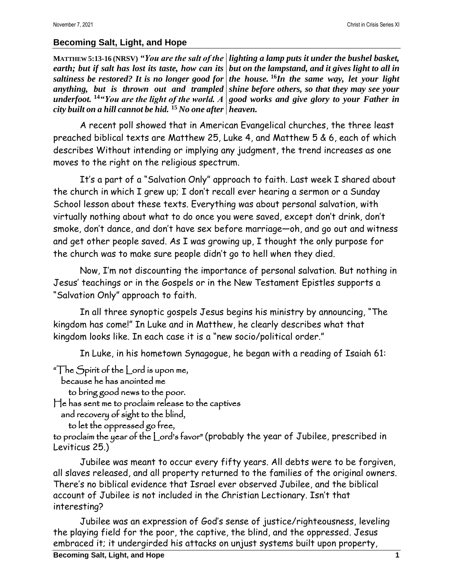## **Becoming Salt, Light, and Hope**

**MATTHEW 5:13-16 (NRSV)** *"You are the salt of the lighting a lamp puts it under the bushel basket,*  earth; but if salt has lost its taste, how can its *\but on the lampstand, and it gives light to all in saltiness be restored? It is no longer good for the house.* **<sup>16</sup>***In the same way, let your light anything, but is thrown out and trampled shine before others, so that they may see your underfoot.* **<sup>14</sup>***"You are the light of the world. A good works and give glory to your Father in city built on a hill cannot be hid.* **<sup>15</sup>** *No one after heaven.*

A recent poll showed that in American Evangelical churches, the three least preached biblical texts are Matthew 25, Luke 4, and Matthew 5 & 6, each of which describes Without intending or implying any judgment, the trend increases as one moves to the right on the religious spectrum.

It's a part of a "Salvation Only" approach to faith. Last week I shared about the church in which I grew up; I don't recall ever hearing a sermon or a Sunday School lesson about these texts. Everything was about personal salvation, with virtually nothing about what to do once you were saved, except don't drink, don't smoke, don't dance, and don't have sex before marriage—oh, and go out and witness and get other people saved. As I was growing up, I thought the only purpose for the church was to make sure people didn't go to hell when they died.

Now, I'm not discounting the importance of personal salvation. But nothing in Jesus' teachings or in the Gospels or in the New Testament Epistles supports a "Salvation Only" approach to faith.

In all three synoptic gospels Jesus begins his ministry by announcing, "The kingdom has come!" In Luke and in Matthew, he clearly describes what that kingdom looks like. In each case it is a "new socio/political order."

In Luke, in his hometown Synagogue, he began with a reading of Isaiah 61:

"The Spirit of the Lord is upon me,

because he has anointed me

to bring good news to the poor.

He has sent me to proclaim release to the captives

and recovery of sight to the blind,

```
 to let the oppressed go free,
```
to proclaim the year of the Lord's favor" (probably the year of Jubilee, prescribed in Leviticus 25.)

Jubilee was meant to occur every fifty years. All debts were to be forgiven, all slaves released, and all property returned to the families of the original owners. There's no biblical evidence that Israel ever observed Jubilee, and the biblical account of Jubilee is not included in the Christian Lectionary. Isn't that interesting?

Jubilee was an expression of God's sense of justice/righteousness, leveling the playing field for the poor, the captive, the blind, and the oppressed. Jesus embraced it; it undergirded his attacks on unjust systems built upon property,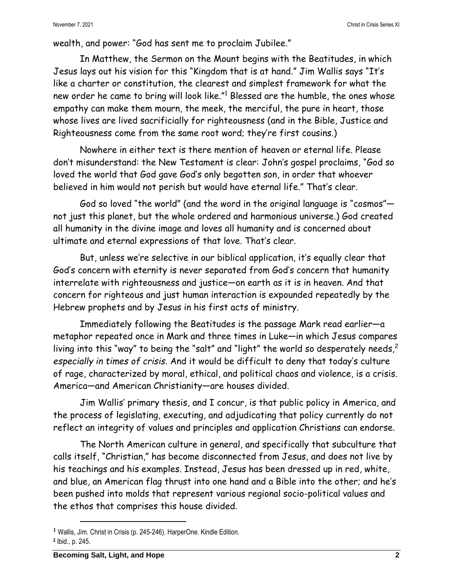wealth, and power: "God has sent me to proclaim Jubilee."

In Matthew, the Sermon on the Mount begins with the Beatitudes, in which Jesus lays out his vision for this "Kingdom that is at hand." Jim Wallis says "It's like a charter or constitution, the clearest and simplest framework for what the new order he came to bring will look like." <sup>1</sup> Blessed are the humble, the ones whose empathy can make them mourn, the meek, the merciful, the pure in heart, those whose lives are lived sacrificially for righteousness (and in the Bible, Justice and Righteousness come from the same root word; they're first cousins.)

Nowhere in either text is there mention of heaven or eternal life. Please don't misunderstand: the New Testament is clear: John's gospel proclaims, "God so loved the world that God gave God's only begotten son, in order that whoever believed in him would not perish but would have eternal life." That's clear.

God so loved "the world" (and the word in the original language is "cosmos" not just this planet, but the whole ordered and harmonious universe.) God created all humanity in the divine image and loves all humanity and is concerned about ultimate and eternal expressions of that love. That's clear.

But, unless we're selective in our biblical application, it's equally clear that God's concern with eternity is never separated from God's concern that humanity interrelate with righteousness and justice—on earth as it is in heaven. And that concern for righteous and just human interaction is expounded repeatedly by the Hebrew prophets and by Jesus in his first acts of ministry.

Immediately following the Beatitudes is the passage Mark read earlier—a metaphor repeated once in Mark and three times in Luke—in which Jesus compares living into this "way" to being the "salt" and "light" the world so desperately needs,<sup>2</sup> *especially in times of crisis.* And it would be difficult to deny that today's culture of rage, characterized by moral, ethical, and political chaos and violence, is a crisis. America—and American Christianity—are houses divided.

Jim Wallis' primary thesis, and I concur, is that public policy in America, and the process of legislating, executing, and adjudicating that policy currently do not reflect an integrity of values and principles and application Christians can endorse.

The North American culture in general, and specifically that subculture that calls itself, "Christian," has become disconnected from Jesus, and does not live by his teachings and his examples. Instead, Jesus has been dressed up in red, white, and blue, an American flag thrust into one hand and a Bible into the other; and he's been pushed into molds that represent various regional socio-political values and the ethos that comprises this house divided.

**<sup>1</sup>** Wallis, Jim. Christ in Crisis (p. 245-246). HarperOne. Kindle Edition. **2** Ibid., p. 245.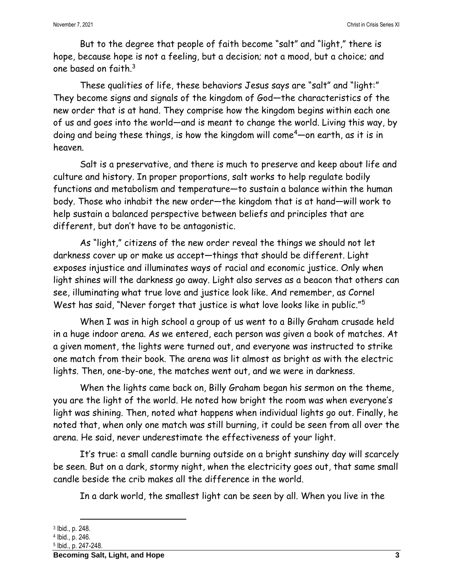But to the degree that people of faith become "salt" and "light," there is hope, because hope is not a feeling, but a decision; not a mood, but a choice; and one based on faith.<sup>3</sup>

These qualities of life, these behaviors Jesus says are "salt" and "light:" They become signs and signals of the kingdom of God—the characteristics of the new order that is at hand. They comprise how the kingdom begins within each one of us and goes into the world—and is meant to change the world. Living this way, by doing and being these things, is how the kingdom will come<sup>4</sup>—on earth, as it is in heaven.

Salt is a preservative, and there is much to preserve and keep about life and culture and history. In proper proportions, salt works to help regulate bodily functions and metabolism and temperature—to sustain a balance within the human body. Those who inhabit the new order—the kingdom that is at hand—will work to help sustain a balanced perspective between beliefs and principles that are different, but don't have to be antagonistic.

As "light," citizens of the new order reveal the things we should not let darkness cover up or make us accept—things that should be different. Light exposes injustice and illuminates ways of racial and economic justice. Only when light shines will the darkness go away. Light also serves as a beacon that others can see, illuminating what true love and justice look like. And remember, as Cornel West has said, "Never forget that justice is what love looks like in public."<sup>5</sup>

When I was in high school a group of us went to a Billy Graham crusade held in a huge indoor arena. As we entered, each person was given a book of matches. At a given moment, the lights were turned out, and everyone was instructed to strike one match from their book. The arena was lit almost as bright as with the electric lights. Then, one-by-one, the matches went out, and we were in darkness.

When the lights came back on, Billy Graham began his sermon on the theme, you are the light of the world. He noted how bright the room was when everyone's light was shining. Then, noted what happens when individual lights go out. Finally, he noted that, when only one match was still burning, it could be seen from all over the arena. He said, never underestimate the effectiveness of your light.

It's true: a small candle burning outside on a bright sunshiny day will scarcely be seen. But on a dark, stormy night, when the electricity goes out, that same small candle beside the crib makes all the difference in the world.

In a dark world, the smallest light can be seen by all. When you live in the

<sup>3</sup> Ibid., p. 248.

<sup>4</sup> Ibid., p. 246.

<sup>5</sup> Ibid., p. 247-248.